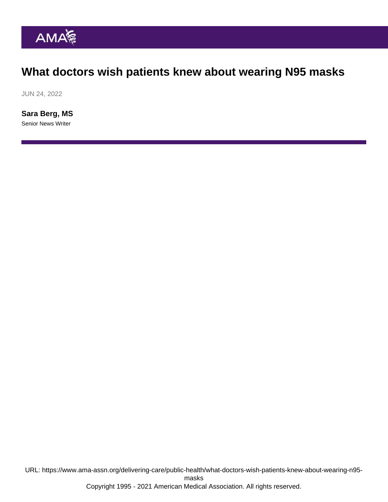## What doctors wish patients knew about wearing N95 masks

JUN 24, 2022

[Sara Berg, MS](https://www.ama-assn.org/news-leadership-viewpoints/authors-news-leadership-viewpoints/sara-berg-ms) Senior News Writer

URL: [https://www.ama-assn.org/delivering-care/public-health/what-doctors-wish-patients-knew-about-wearing-n95](https://www.ama-assn.org/delivering-care/public-health/what-doctors-wish-patients-knew-about-wearing-n95-masks) [masks](https://www.ama-assn.org/delivering-care/public-health/what-doctors-wish-patients-knew-about-wearing-n95-masks) Copyright 1995 - 2021 American Medical Association. All rights reserved.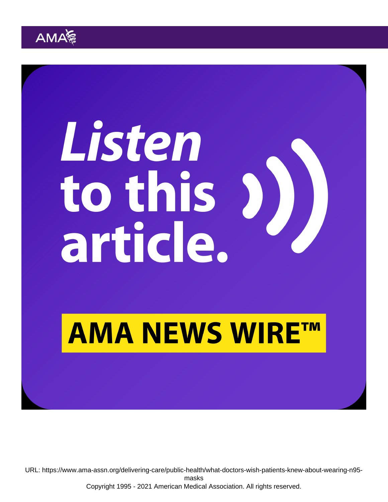URL: [https://www.ama-assn.org/delivering-care/public-health/what-doctors-wish-patients-knew-about-wearing-n95](https://www.ama-assn.org/delivering-care/public-health/what-doctors-wish-patients-knew-about-wearing-n95-masks) [masks](https://www.ama-assn.org/delivering-care/public-health/what-doctors-wish-patients-knew-about-wearing-n95-masks) Copyright 1995 - 2021 American Medical Association. All rights reserved.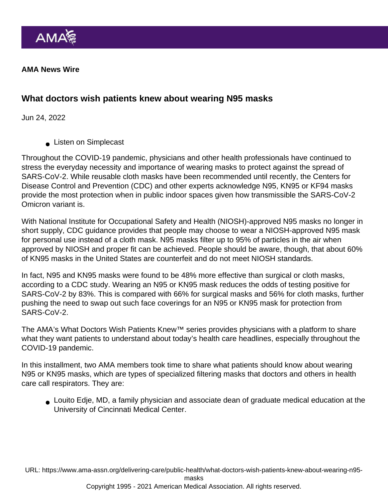AMA News Wire

What doctors wish patients knew about wearing N95 masks

Jun 24, 2022

**Listen on Simplecast** 

Throughout the COVID-19 pandemic, physicians and other health professionals have continued to stress the everyday necessity and importance of wearing masks to protect against the spread of SARS-CoV-2. While reusable cloth masks have been recommended until recently, the Centers for Disease Control and Prevention (CDC) and other experts acknowledge N95, KN95 or KF94 masks provide the most protection when in public indoor spaces given how transmissible the SARS-CoV-2 [Omicron variant](https://www.ama-assn.org/delivering-care/public-health/what-doctors-wish-patients-knew-about-covid-19-omicron-variant) is.

With National Institute for Occupational Safety and Health (NIOSH)-approved N95 masks no longer in short supply, [CDC guidance](https://www.cdc.gov/coronavirus/2019-ncov/prevent-getting-sick/types-of-masks.html) provides that people may choose to wear a NIOSH-approved N95 mask for personal use instead of a cloth mask. N95 masks filter up to 95% of particles in the air when approved by NIOSH and proper fit can be achieved. People should be aware, though, that about 60% of KN95 masks in the United States are counterfeit and do not meet NIOSH standards.

In fact, N95 and KN95 masks were found to be 48% more effective than surgical or cloth masks, according to a [CDC study.](https://www.cdc.gov/mmwr/volumes/71/wr/mm7106e1.htm?s_cid=mm7106e1_x#T1_down) Wearing an N95 or KN95 mask reduces the odds of testing positive for SARS-CoV-2 by 83%. This is compared with 66% for surgical masks and 56% for cloth masks, further pushing the need to swap out such face coverings for an N95 or KN95 mask for protection from SARS-CoV-2.

The AMA's [What Doctors Wish Patients Knew™](https://www.ama-assn.org/series/what-doctors-wish-patients-knew) series provides physicians with a platform to share what they want patients to understand about today's health care headlines, especially throughout the COVID-19 pandemic.

In this installment, two AMA members took time to share what patients should know about wearing N95 or KN95 masks, which are types of specialized filtering masks that doctors and others in health care call [respirators.](https://www.cdc.gov/coronavirus/2019-ncov/prevent-getting-sick/types-of-masks.html#respirators) They are:

[Louito Edje, MD](https://www.ama-assn.org/about/leadership/lou-edje-md-she-helps-launch-family-doctors-practice), a family physician and associate dean of graduate medical education at the University of Cincinnati Medical Center.

URL: [https://www.ama-assn.org/delivering-care/public-health/what-doctors-wish-patients-knew-about-wearing-n95-](https://www.ama-assn.org/delivering-care/public-health/what-doctors-wish-patients-knew-about-wearing-n95-masks)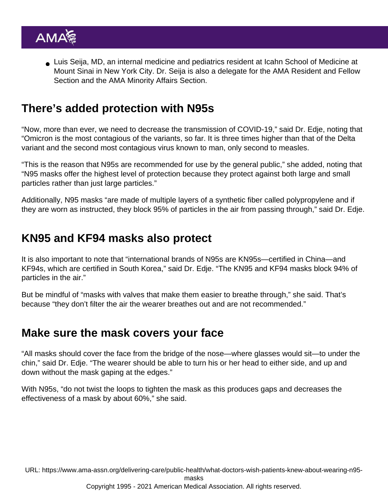[Luis Seija, MD](https://www.ama-assn.org/member-groups-sections/residents-fellows/luis-seija-md), an internal medicine and pediatrics resident at Icahn School of Medicine at Mount Sinai in New York City. Dr. Seija is also a delegate for the [AMA Resident and Fellow](https://www.ama-assn.org/member-groups-sections/residents-fellows) [Section](https://www.ama-assn.org/member-groups-sections/residents-fellows) and the [AMA Minority Affairs Section.](https://www.ama-assn.org/member-groups-sections/minority-affairs-0)

#### There's added protection with N95s

"Now, more than ever, we need to decrease the transmission of COVID-19," said Dr. Edje, noting that "Omicron is the most contagious of the variants, so far. It is three times higher than that of the Delta variant and the second most contagious virus known to man, only second to measles.

"This is the reason that N95s are recommended for use by the general public," she added, noting that "N95 masks offer the highest level of protection because they protect against both large and small particles rather than just large particles."

Additionally, N95 masks "are made of multiple layers of a synthetic fiber called polypropylene and if they are worn as instructed, they block 95% of particles in the air from passing through," said Dr. Edje.

### KN95 and KF94 masks also protect

It is also important to note that "international brands of N95s are KN95s—certified in China—and KF94s, which are certified in South Korea," said Dr. Edje. "The KN95 and KF94 masks block 94% of particles in the air."

But be mindful of "masks with valves that make them easier to breathe through," she said. That's because "they don't filter the air the wearer breathes out and are not recommended."

#### Make sure the mask covers your face

"All [masks](https://www.ama-assn.org/delivering-care/public-health/6-things-doctors-wish-patients-knew-about-masks) should cover the face from the bridge of the nose—where glasses would sit—to under the chin," said Dr. Edje. "The wearer should be able to turn his or her head to either side, and up and down without the mask gaping at the edges."

With N95s, "do not twist the loops to tighten the mask as this produces gaps and decreases the effectiveness of a mask by about 60%," she said.

URL: [https://www.ama-assn.org/delivering-care/public-health/what-doctors-wish-patients-knew-about-wearing-n95](https://www.ama-assn.org/delivering-care/public-health/what-doctors-wish-patients-knew-about-wearing-n95-masks) [masks](https://www.ama-assn.org/delivering-care/public-health/what-doctors-wish-patients-knew-about-wearing-n95-masks)

Copyright 1995 - 2021 American Medical Association. All rights reserved.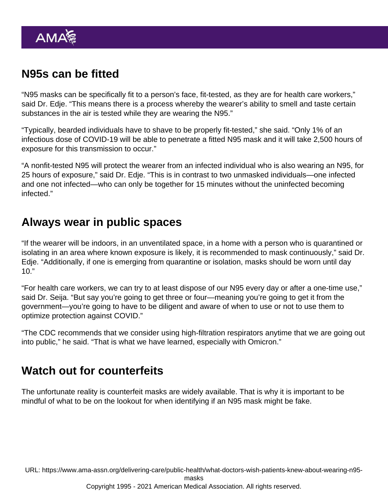# N95s can be fitted

"N95 masks can be specifically fit to a person's face, fit-tested, as they are for health care workers," said Dr. Edje. "This means there is a process whereby the wearer's ability to smell and taste certain substances in the air is tested while they are wearing the N95."

"Typically, bearded individuals have to shave to be properly fit-tested," she said. "Only 1% of an infectious dose of COVID-19 will be able to penetrate a fitted N95 mask and it will take 2,500 hours of exposure for this transmission to occur."

"A nonfit-tested N95 will protect the wearer from an infected individual who is also wearing an N95, for 25 hours of exposure," said Dr. Edje. "This is in contrast to two unmasked individuals—one infected and one not infected—who can only be together for 15 minutes without the uninfected becoming infected."

#### Always wear in public spaces

"If the wearer will be indoors, in an unventilated space, in a home with a person who is quarantined or isolating in an area where known exposure is likely, it is recommended to mask continuously," said Dr. Edje. "Additionally, if one is emerging from quarantine or isolation, masks should be worn until day  $10."$ 

"For health care workers, we can try to at least dispose of our N95 every day or after a one-time use," said Dr. Seija. "But say you're going to get three or four—meaning you're going to get it from the government—you're going to have to be diligent and aware of when to use or not to use them to optimize protection against COVID."

"The CDC recommends that we consider using high-filtration respirators anytime that we are going out into public," he said. "That is what we have learned, especially with Omicron."

#### Watch out for counterfeits

The unfortunate reality is counterfeit masks are widely available. That is why it is important to be mindful of what to be on the lookout for when identifying if [an N95 mask might be fake.](https://www.ama-assn.org/delivering-care/public-health/7-signs-those-new-n95s-your-physician-practice-might-be-fake)

URL: [https://www.ama-assn.org/delivering-care/public-health/what-doctors-wish-patients-knew-about-wearing-n95-](https://www.ama-assn.org/delivering-care/public-health/what-doctors-wish-patients-knew-about-wearing-n95-masks)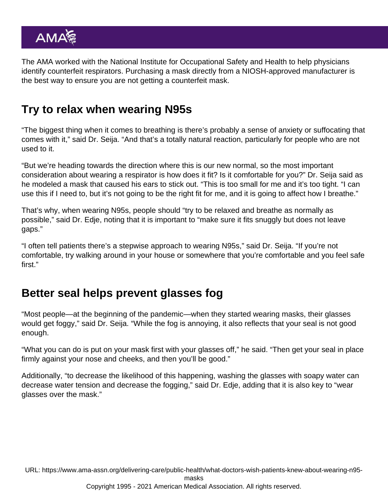The AMA worked with the National Institute for Occupational Safety and Health to help physicians [identify counterfeit respirators](https://edhub.ama-assn.org/cdc-project-firstline/video-player/18641992). Purchasing a mask directly from a NIOSH-approved manufacturer is the best way to ensure you are not getting a counterfeit mask.

# Try to relax when wearing N95s

"The biggest thing when it comes to breathing is there's probably a sense of anxiety or suffocating that comes with it," said Dr. Seija. "And that's a totally natural reaction, particularly for people who are not used to it.

"But we're heading towards the direction where this is our new normal, so the most important consideration about wearing a respirator is how does it fit? Is it comfortable for you?" Dr. Seija said as he modeled a mask that caused his ears to stick out. "This is too small for me and it's too tight. "I can use this if I need to, but it's not going to be the right fit for me, and it is going to affect how I breathe."

That's why, when wearing N95s, people should "try to be relaxed and breathe as normally as possible," said Dr. Edje, noting that it is important to "make sure it fits snuggly but does not leave gaps."

"I often tell patients there's a stepwise approach to wearing N95s," said Dr. Seija. "If you're not comfortable, try walking around in your house or somewhere that you're comfortable and you feel safe first."

# Better seal helps prevent glasses fog

"Most people—at the beginning of the pandemic—when they started wearing masks, their glasses would get foggy," said Dr. Seija. "While the fog is annoying, it also reflects that your seal is not good enough.

"What you can do is put on your mask first with your glasses off," he said. "Then get your seal in place firmly against your nose and cheeks, and then you'll be good."

Additionally, "to decrease the likelihood of this happening, washing the glasses with soapy water can decrease water tension and decrease the fogging," said Dr. Edje, adding that it is also key to "wear glasses over the mask."

URL: [https://www.ama-assn.org/delivering-care/public-health/what-doctors-wish-patients-knew-about-wearing-n95-](https://www.ama-assn.org/delivering-care/public-health/what-doctors-wish-patients-knew-about-wearing-n95-masks)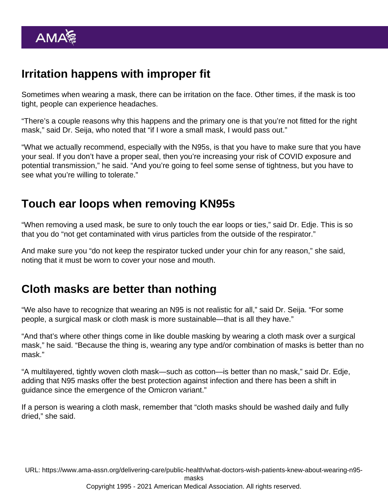# Irritation happens with improper fit

Sometimes when wearing a mask, there can be irritation on the face. Other times, if the mask is too tight, people can experience headaches.

"There's a couple reasons why this happens and the primary one is that you're not fitted for the right mask," said Dr. Seija, who noted that "if I wore a small mask, I would pass out."

"What we actually recommend, especially with the N95s, is that you have to make sure that you have your seal. If you don't have a proper seal, then you're increasing your risk of COVID exposure and potential transmission," he said. "And you're going to feel some sense of tightness, but you have to see what you're willing to tolerate."

### Touch ear loops when removing KN95s

"When removing a used mask, be sure to only touch the ear loops or ties," said Dr. Edje. This is so that you do "not get contaminated with virus particles from the outside of the respirator."

And make sure you "do not keep the respirator tucked under your chin for any reason," she said, noting that it must be worn to cover your nose and mouth.

# Cloth masks are better than nothing

"We also have to recognize that wearing an N95 is not realistic for all," said Dr. Seija. "For some people, a surgical mask or cloth mask is more sustainable—that is all they have."

"And that's where other things come in like double masking by wearing a cloth mask over a surgical mask," he said. "Because the thing is, wearing any type and/or combination of masks is better than no mask."

"A multilayered, tightly woven cloth mask—such as cotton—is better than no mask," said Dr. Edje, adding that N95 masks offer the best protection against infection and there has been a shift in guidance since the emergence of the Omicron variant."

If a person is wearing a cloth mask, remember that "cloth masks should be washed daily and fully dried," she said.

URL: [https://www.ama-assn.org/delivering-care/public-health/what-doctors-wish-patients-knew-about-wearing-n95-](https://www.ama-assn.org/delivering-care/public-health/what-doctors-wish-patients-knew-about-wearing-n95-masks)